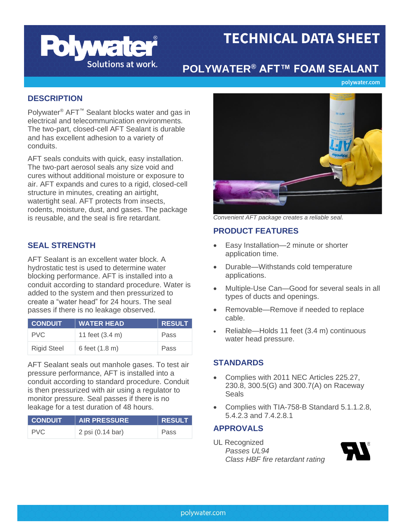

# **TECHNICAL DATA SHEET**

# **POLYWATER® AFT™ FOAM SEALANT**

polywater.com

# **DESCRIPTION**

Polywater<sup>®</sup> AFT<sup>™</sup> Sealant blocks water and gas in electrical and telecommunication environments. The two-part, closed-cell AFT Sealant is durable and has excellent adhesion to a variety of conduits.

AFT seals conduits with quick, easy installation. The two-part aerosol seals any size void and cures without additional moisture or exposure to air. AFT expands and cures to a rigid, closed-cell structure in minutes, creating an airtight, watertight seal. AFT protects from insects, rodents, moisture, dust, and gases. The package is reusable, and the seal is fire retardant. *Convenient AFT package creates a reliable seal.*

AFT Sealant is an excellent water block. A hydrostatic test is used to determine water blocking performance. AFT is installed into a conduit according to standard procedure. Water is added to the system and then pressurized to create a "water head" for 24 hours. The seal passes if there is no leakage observed.

| CONDUIT'           | <b>WATER HEAD</b> | <b>RESULT</b> |
|--------------------|-------------------|---------------|
| PVC.               | 11 feet (3.4 m)   | Pass          |
| <b>Rigid Steel</b> | 6 feet (1.8 m)    | Pass          |

AFT Sealant seals out manhole gases. To test air pressure performance, AFT is installed into a conduit according to standard procedure. Conduit is then pressurized with air using a regulator to monitor pressure. Seal passes if there is no leakage for a test duration of 48 hours.

| <b>CONDUIT</b> | <b>AIR PRESSURE</b> | RESULT |
|----------------|---------------------|--------|
| <b>PVC</b>     | 2 psi (0.14 bar)    | Pass   |



# **PRODUCT FEATURES**

- **SEAL STRENGTH** Easy Installation—2 minute or shorter application time.
	- Durable—Withstands cold temperature applications.
	- Multiple-Use Can—Good for several seals in all types of ducts and openings.
	- Removable—Remove if needed to replace cable.
	- Reliable—Holds 11 feet (3.4 m) continuous water head pressure.

# **STANDARDS**

- Complies with 2011 NEC Articles 225.27, 230.8, 300.5(G) and 300.7(A) on Raceway Seals
- Complies with TIA-758-B Standard 5.1.1.2.8, 5.4.2.3 and 7.4.2.8.1

# **APPROVALS**

UL Recognized *Passes UL94 Class HBF fire retardant rating*

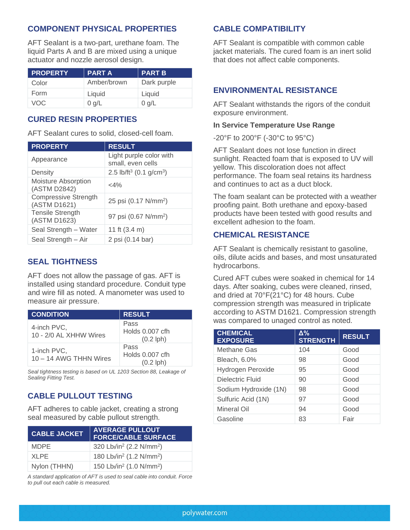# **COMPONENT PHYSICAL PROPERTIES CABLE COMPATIBILITY**

AFT Sealant is a two-part, urethane foam. The liquid Parts A and B are mixed using a unique actuator and nozzle aerosol design.

| <b>PROPERTY</b> | <b>PARTA</b> | ∣ PART B    |
|-----------------|--------------|-------------|
| Color           | Amber/brown  | Dark purple |
| Form            | Liquid       | Liquid      |
| VOC             | $0$ g/L      | $0$ g/L     |

# **CURED RESIN PROPERTIES**

AFT Sealant cures to solid, closed-cell foam.

| <b>PROPERTY</b>                             | <b>RESULT</b>                                   |
|---------------------------------------------|-------------------------------------------------|
| Appearance                                  | Light purple color with<br>small, even cells    |
| Density                                     | 2.5 lb/ft <sup>3</sup> (0.1 g/cm <sup>3</sup> ) |
| Moisture Absorption<br>(ASTM D2842)         | $<$ 4%                                          |
| <b>Compressive Strength</b><br>(ASTM D1621) | 25 psi (0.17 N/mm <sup>2</sup> )                |
| <b>Tensile Strength</b><br>(ASTM D1623)     | 97 psi (0.67 N/mm <sup>2</sup> )                |
| Seal Strength - Water                       | 11 ft (3.4 m)                                   |
| Seal Strength - Air                         | 2 psi (0.14 bar)                                |

# **SEAL TIGHTNESS**

AFT does not allow the passage of gas. AFT is installed using standard procedure. Conduit type and wire fill as noted. A manometer was used to measure air pressure.

| <b>CONDITION</b>                      | <b>RESULT</b>                          |
|---------------------------------------|----------------------------------------|
| 4-inch PVC,<br>10 - 2/0 AL XHHW Wires | Pass<br>Holds 0.007 cfh<br>$(0.2$ lph) |
| 1-inch PVC,<br>10 - 14 AWG THHN Wires | Pass<br>Holds 0.007 cfh<br>$(0.2$ lph) |

*Seal tightness testing is based on UL 1203 Section 88, Leakage of Sealing Fitting Test.*

# **CABLE PULLOUT TESTING**

AFT adheres to cable jacket, creating a strong seal measured by cable pullout strength.

| <b>CABLE JACKET</b> | <b>AVERAGE PULLOUT</b><br><b>FORCE/CABLE SURFACE</b>          |
|---------------------|---------------------------------------------------------------|
| MDPE.               | 320 Lbt/in <sup>2</sup> (2.2 N/mm <sup>2</sup> )              |
| <b>XLPE</b>         | 180 Lb <sub>f</sub> /in <sup>2</sup> (1.2 N/mm <sup>2</sup> ) |
| Nylon (THHN)        | 150 Lbf/in <sup>2</sup> (1.0 N/mm <sup>2</sup> )              |

*A standard application of AFT is used to seal cable into conduit. Force to pull out each cable is measured.*

AFT Sealant is compatible with common cable jacket materials. The cured foam is an inert solid that does not affect cable components.

# **ENVIRONMENTAL RESISTANCE**

AFT Sealant withstands the rigors of the conduit exposure environment.

### **In Service Temperature Use Range**

-20°F to 200°F (-30°C to 95°C)

AFT Sealant does not lose function in direct sunlight. Reacted foam that is exposed to UV will yellow. This discoloration does not affect performance. The foam seal retains its hardness and continues to act as a duct block.

The foam sealant can be protected with a weather proofing paint. Both urethane and epoxy-based products have been tested with good results and excellent adhesion to the foam.

# **CHEMICAL RESISTANCE**

AFT Sealant is chemically resistant to gasoline, oils, dilute acids and bases, and most unsaturated hydrocarbons.

Cured AFT cubes were soaked in chemical for 14 days. After soaking, cubes were cleaned, rinsed, and dried at 70°F(21°C) for 48 hours. Cube compression strength was measured in triplicate according to ASTM D1621. Compression strength was compared to unaged control as noted.

| <b>CHEMICAL</b><br><b>EXPOSURE</b> | $\Delta\%$<br><b>STRENGTH</b> | <b>RESULT</b> |
|------------------------------------|-------------------------------|---------------|
| <b>Methane Gas</b>                 | 104                           | Good          |
| Bleach, 6.0%                       | 98                            | Good          |
| Hydrogen Peroxide                  | 95                            | Good          |
| Dielectric Fluid                   | 90                            | Good          |
| Sodium Hydroxide (1N)              | 98                            | Good          |
| Sulfuric Acid (1N)                 | 97                            | Good          |
| Mineral Oil                        | 94                            | Good          |
| Gasoline                           | 83                            | Fair          |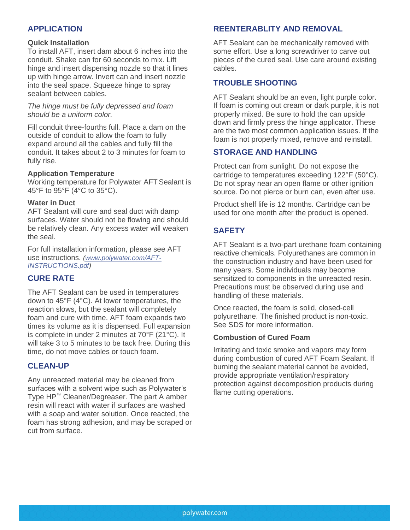### **Quick Installation**

To install AFT, insert dam about 6 inches into the conduit. Shake can for 60 seconds to mix. Lift hinge and insert dispensing nozzle so that it lines up with hinge arrow. Invert can and insert nozzle into the seal space. Squeeze hinge to spray sealant between cables.

*The hinge must be fully depressed and foam should be a uniform color.* 

Fill conduit three-fourths full. Place a dam on the outside of conduit to allow the foam to fully expand around all the cables and fully fill the conduit. It takes about 2 to 3 minutes for foam to fully rise.

### **Application Temperature**

Working temperature for Polywater AFT Sealant is 45°F to 95°F (4°C to 35°C).

### **Water in Duct**

AFT Sealant will cure and seal duct with damp surfaces. Water should not be flowing and should be relatively clean. Any excess water will weaken the seal.

For full installation information, please see AFT use instructions. *[\(www.polywater.com/AFT-](http://www.polywater.com/wp-content/uploads/pdf/FST-INSTRUCTIONS.pdf)[INSTRUCTIONS.pdf\)](http://www.polywater.com/wp-content/uploads/pdf/FST-INSTRUCTIONS.pdf)*

# **CURE RATE**

The AFT Sealant can be used in temperatures down to 45°F (4°C). At lower temperatures, the reaction slows, but the sealant will completely foam and cure with time. AFT foam expands two times its volume as it is dispensed. Full expansion is complete in under 2 minutes at 70°F (21°C). It will take 3 to 5 minutes to be tack free. During this time, do not move cables or touch foam.

# **CLEAN-UP**

Any unreacted material may be cleaned from surfaces with a solvent wipe such as Polywater's Type HP™ Cleaner/Degreaser. The part A amber resin will react with water if surfaces are washed with a soap and water solution. Once reacted, the foam has strong adhesion, and may be scraped or cut from surface.

# **APPLICATION REENTERABLITY AND REMOVAL**

AFT Sealant can be mechanically removed with some effort. Use a long screwdriver to carve out pieces of the cured seal. Use care around existing cables.

# **TROUBLE SHOOTING**

AFT Sealant should be an even, light purple color. If foam is coming out cream or dark purple, it is not properly mixed. Be sure to hold the can upside down and firmly press the hinge applicator. These are the two most common application issues. If the foam is not properly mixed, remove and reinstall.

# **STORAGE AND HANDLING**

Protect can from sunlight. Do not expose the cartridge to temperatures exceeding 122°F (50°C). Do not spray near an open flame or other ignition source. Do not pierce or burn can, even after use.

Product shelf life is 12 months. Cartridge can be used for one month after the product is opened.

# **SAFETY**

AFT Sealant is a two-part urethane foam containing reactive chemicals. Polyurethanes are common in the construction industry and have been used for many years. Some individuals may become sensitized to components in the unreacted resin. Precautions must be observed during use and handling of these materials.

Once reacted, the foam is solid, closed-cell polyurethane. The finished product is non-toxic. See SDS for more information.

#### **Combustion of Cured Foam**

Irritating and toxic smoke and vapors may form during combustion of cured AFT Foam Sealant. If burning the sealant material cannot be avoided, provide appropriate ventilation/respiratory protection against decomposition products during flame cutting operations.